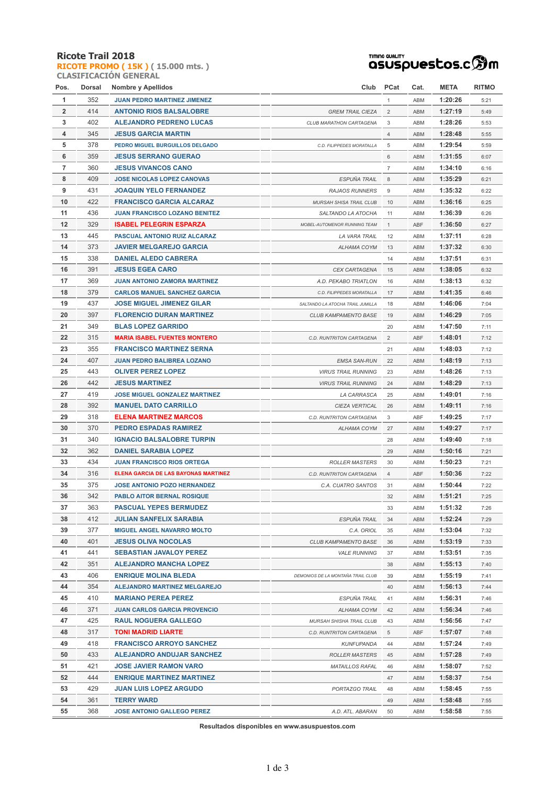### **Ricote Trail 2018**

**RICOTE PROMO ( 15K ) ( 15.000 mts. ) CLASIFICACIÓN GENERAL**

### **TIMING QUALITY**<br>QSUSpUestos.c<sup>6</sup>m

| Pos.           | Dorsal | <b>Nombre y Apellidos</b>            | Club PCat                         |                | Cat.       | <b>META</b> | <b>RITMO</b> |
|----------------|--------|--------------------------------------|-----------------------------------|----------------|------------|-------------|--------------|
| 1              | 352    | <b>JUAN PEDRO MARTINEZ JIMENEZ</b>   |                                   | $\mathbf{1}$   | ABM        | 1:20:26     | 5:21         |
| $\overline{2}$ | 414    | <b>ANTONIO RIOS BALSALOBRE</b>       | <b>GREM TRAIL CIEZA</b>           | $\overline{2}$ | ABM        | 1:27:19     | 5:49         |
| 3              | 402    | <b>ALEJANDRO PEDRENO LUCAS</b>       | CLUB MARATHON CARTAGENA           | 3              | ABM        | 1:28:26     | 5:53         |
| 4              | 345    | <b>JESUS GARCIA MARTIN</b>           |                                   | $\overline{4}$ | ABM        | 1:28:48     | 5:55         |
| 5              | 378    | PEDRO MIGUEL BURGUILLOS DELGADO      | C.D. FILIPPEDES MORATALLA         | 5              | ABM        | 1:29:54     | 5:59         |
| 6              | 359    | <b>JESUS SERRANO GUERAO</b>          |                                   | 6              | ABM        | 1:31:55     | 6:07         |
| $\overline{7}$ | 360    | <b>JESUS VIVANCOS CANO</b>           |                                   | $\overline{7}$ | ABM        | 1:34:10     | 6:16         |
| 8              | 409    | <b>JOSE NICOLAS LOPEZ CANOVAS</b>    | ESPUÑA TRAIL                      | 8              | ABM        | 1:35:29     | 6:21         |
| 9              | 431    | <b>JOAQUIN YELO FERNANDEZ</b>        | <b>RAJAOS RUNNERS</b>             | 9              | ABM        | 1:35:32     | 6:22         |
| 10             | 422    | <b>FRANCISCO GARCIA ALCARAZ</b>      | MURSAH SHISA TRAIL CLUB           | 10             | ABM        | 1:36:16     | 6:25         |
| 11             | 436    | JUAN FRANCISCO LOZANO BENITEZ        | SALTANDO LA ATOCHA                | 11             | ABM        | 1:36:39     | 6:26         |
| 12             | 329    | <b>ISABEL PELEGRIN ESPARZA</b>       | MOBEL-AUTOMENOR RUNNING TEAM      | 1              | ABF        | 1:36:50     | 6:27         |
| 13             | 445    | PASCUAL ANTONIO RUIZ ALCARAZ         | LA VARA TRAIL                     | 12             | ABM        | 1:37:11     | 6:28         |
| 14             | 373    | <b>JAVIER MELGAREJO GARCIA</b>       | ALHAMA COYM                       | 13             | ABM        | 1:37:32     | 6:30         |
| 15             | 338    | <b>DANIEL ALEDO CABRERA</b>          |                                   | 14             | ABM        | 1:37:51     | 6:31         |
| 16             | 391    | <b>JESUS EGEA CARO</b>               | CEX CARTAGENA                     | 15             | ABM        | 1:38:05     | 6:32         |
| 17             | 369    | <b>JUAN ANTONIO ZAMORA MARTINEZ</b>  | A.D. PEKABO TRIATLON              | 16             | ABM        | 1:38:13     | 6:32         |
| 18             | 379    | <b>CARLOS MANUEL SANCHEZ GARCIA</b>  | C.D. FILIPPEDES MORATALLA         | 17             | ABM        | 1:41:35     | 6:46         |
| 19             | 437    | <b>JOSE MIGUEL JIMENEZ GILAR</b>     | SALTANDO LA ATOCHA TRAIL JUMILLA  | 18             | ABM        | 1:46:06     | 7:04         |
| 20             | 397    | <b>FLORENCIO DURAN MARTINEZ</b>      | CLUB KAMPAMENTO BASE              | 19             | ABM        | 1:46:29     | 7:05         |
| 21             | 349    | <b>BLAS LOPEZ GARRIDO</b>            |                                   | 20             | ABM        | 1:47:50     | 7:11         |
| 22             | 315    | <b>MARIA ISABEL FUENTES MONTERO</b>  | C.D. RUNTRITON CARTAGENA          | $\overline{2}$ | ABF        | 1:48:01     | 7:12         |
| 23             | 355    | <b>FRANCISCO MARTINEZ SERNA</b>      |                                   | 21             | ABM        | 1:48:03     | 7:12         |
| 24             | 407    | <b>JUAN PEDRO BALIBREA LOZANO</b>    | <b>EMSA SAN-RUN</b>               | 22             | ABM        | 1:48:19     | 7:13         |
| 25             | 443    | <b>OLIVER PEREZ LOPEZ</b>            | <b>VIRUS TRAIL RUNNING</b>        | 23             | ABM        | 1:48:26     | 7:13         |
| 26             | 442    | <b>JESUS MARTINEZ</b>                | <b>VIRUS TRAIL RUNNING</b>        | 24             | ABM        | 1:48:29     | 7:13         |
| 27             | 419    | <b>JOSE MIGUEL GONZALEZ MARTINEZ</b> | LA CARRASCA                       | 25             | ABM        | 1:49:01     | 7:16         |
| 28             | 392    | <b>MANUEL DATO CARRILLO</b>          | CIEZA VERTICAL                    | 26             | ABM        | 1:49:11     | 7:16         |
| 29             | 318    | <b>ELENA MARTINEZ MARCOS</b>         | C.D. RUNTRITON CARTAGENA          | 3              | ABF        | 1:49:25     | 7:17         |
| 30             | 370    | <b>PEDRO ESPADAS RAMIREZ</b>         | ALHAMA COYM                       | 27             | ABM        | 1:49:27     | 7:17         |
| 31             | 340    | <b>IGNACIO BALSALOBRE TURPIN</b>     |                                   | 28             | ABM        | 1:49:40     | 7:18         |
| 32             | 362    | <b>DANIEL SARABIA LOPEZ</b>          |                                   | 29             | ABM        | 1:50:16     | 7:21         |
| 33             | 434    | <b>JUAN FRANCISCO RIOS ORTEGA</b>    | <b>ROLLER MASTERS</b>             | 30             | ABM        | 1:50:23     | 7:21         |
| 34             | 316    | ELENA GARCIA DE LAS BAYONAS MARTINEZ | C.D. RUNTRITON CARTAGENA          | $\overline{4}$ | ABF        | 1:50:36     | 7:22         |
| 35             | 375    | <b>JOSE ANTONIO POZO HERNANDEZ</b>   | C.A. CUATRO SANTOS                | 31             | ABM        | 1:50:44     | 7:22         |
| 36             | 342    | <b>PABLO AITOR BERNAL ROSIQUE</b>    |                                   | 32             | <b>ABM</b> | 1:51:21     | 7:25         |
| 37             | 363    | <b>PASCUAL YEPES BERMUDEZ</b>        |                                   | 33             | ABM        | 1:51:32     | 7:26         |
| 38             | 412    | <b>JULIAN SANFELIX SARABIA</b>       | ESPUÑA TRAIL                      | 34             | ABM        | 1:52:24     | 7:29         |
| 39             | 377    | <b>MIGUEL ANGEL NAVARRO MOLTO</b>    | C.A. ORIOL                        | 35             | ABM        | 1:53:04     | 7:32         |
| 40             | 401    | <b>JESUS OLIVA NOCOLAS</b>           | CLUB KAMPAMENTO BASE              | 36             | ABM        | 1:53:19     | 7:33         |
| 41             | 441    | <b>SEBASTIAN JAVALOY PEREZ</b>       | <b>VALE RUNNING</b>               | 37             | ABM        | 1:53:51     | 7:35         |
| 42             | 351    | <b>ALEJANDRO MANCHA LOPEZ</b>        |                                   | 38             | ABM        | 1:55:13     | 7:40         |
| 43             | 406    | <b>ENRIQUE MOLINA BLEDA</b>          | DEMONIOS DE LA MONTAÑA TRAIL CLUB | 39             | ABM        | 1:55:19     | 7:41         |
| 44             | 354    | <b>ALEJANDRO MARTINEZ MELGAREJO</b>  |                                   | 40             | ABM        | 1:56:13     | 7:44         |
| 45             | 410    | <b>MARIANO PEREA PEREZ</b>           | ESPUÑA TRAIL                      | 41             | ABM        | 1:56:31     | 7:46         |
| 46             | 371    | <b>JUAN CARLOS GARCIA PROVENCIO</b>  | ALHAMA COYM                       | 42             | ABM        | 1:56:34     | 7:46         |
| 47             | 425    | <b>RAUL NOGUERA GALLEGO</b>          | MURSAH SHISHA TRAIL CLUB          | 43             | ABM        | 1:56:56     | 7:47         |
| 48             | 317    | <b>TONI MADRID LIARTE</b>            | C.D. RUNTRITON CARTAGENA          | 5              | ABF        | 1:57:07     | 7:48         |
| 49             | 418    | <b>FRANCISCO ARROYO SANCHEZ</b>      | <b>KUNFUPANDA</b>                 | 44             | ABM        | 1:57:24     | 7:49         |
| 50             | 433    | <b>ALEJANDRO ANDUJAR SANCHEZ</b>     | <b>ROLLER MASTERS</b>             | 45             | ABM        | 1:57:28     | 7:49         |
| 51             | 421    | <b>JOSE JAVIER RAMON VARO</b>        | <b>MATAILLOS RAFAL</b>            | 46             | ABM        | 1:58:07     | 7:52         |
| 52             | 444    | <b>ENRIQUE MARTINEZ MARTINEZ</b>     |                                   | 47             | ABM        | 1:58:37     | 7:54         |
| 53             | 429    | <b>JUAN LUIS LOPEZ ARGUDO</b>        | PORTAZGO TRAIL                    | 48             | ABM        | 1:58:45     | 7:55         |
| 54             | 361    | <b>TERRY WARD</b>                    |                                   | 49             | ABM        | 1:58:48     | 7:55         |
| 55             | 368    | <b>JOSE ANTONIO GALLEGO PEREZ</b>    | A.D. ATL. ABARAN                  | 50             | ABM        | 1:58:58     | 7:55         |

**Resultados disponibles en www.asuspuestos.com**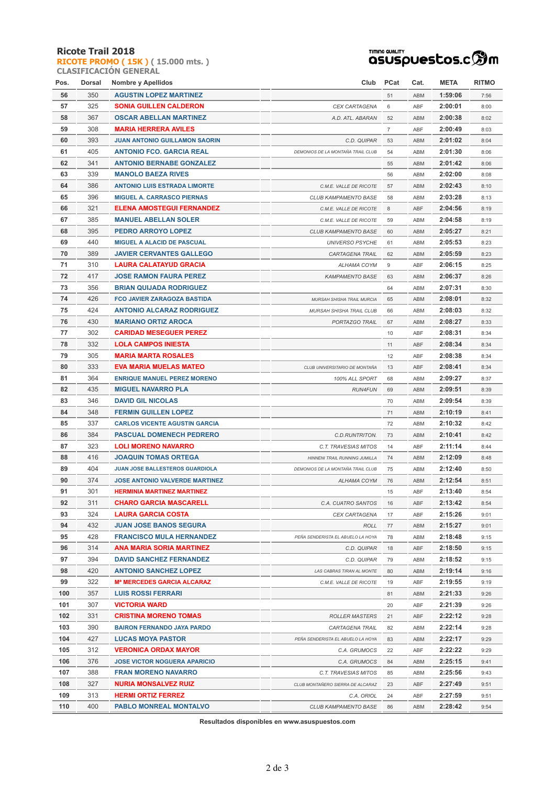#### **Ricote Trail 2018**

**RICOTE PROMO ( 15K ) ( 15.000 mts. ) CLASIFICACIÓN GENERAL**

# TIMING QUALITY<br>QSUSPUESCOS.C **SOM**

| Pos. | Dorsal | <b>Nombre y Apellidos</b>             | Club                              | PCat           | Cat. | META    | <b>RITMO</b> |
|------|--------|---------------------------------------|-----------------------------------|----------------|------|---------|--------------|
| 56   | 350    | <b>AGUSTIN LOPEZ MARTINEZ</b>         |                                   | 51             | ABM  | 1:59:06 | 7:56         |
| 57   | 325    | <b>SONIA GUILLEN CALDERON</b>         | CEX CARTAGENA                     | 6              | ABF  | 2:00:01 | 8:00         |
| 58   | 367    | <b>OSCAR ABELLAN MARTINEZ</b>         | A.D. ATL. ABARAN                  | 52             | ABM  | 2:00:38 | 8:02         |
| 59   | 308    | <b>MARIA HERRERA AVILES</b>           |                                   | $\overline{7}$ | ABF  | 2:00:49 | 8:03         |
| 60   | 393    | <b>JUAN ANTONIO GUILLAMON SAORIN</b>  | C.D. QUIPAR                       | 53             | ABM  | 2:01:02 | 8:04         |
| 61   | 405    | <b>ANTONIO FCO. GARCIA REAL</b>       | DEMONIOS DE LA MONTAÑA TRAIL CLUB | 54             | ABM  | 2:01:30 | 8:06         |
| 62   | 341    | <b>ANTONIO BERNABE GONZALEZ</b>       |                                   | 55             | ABM  | 2:01:42 | 8:06         |
| 63   | 339    | <b>MANOLO BAEZA RIVES</b>             |                                   | 56             | ABM  | 2:02:00 | 8:08         |
| 64   | 386    | <b>ANTONIO LUIS ESTRADA LIMORTE</b>   | C.M.E. VALLE DE RICOTE            | 57             | ABM  | 2:02:43 | 8:10         |
| 65   | 396    | <b>MIGUEL A. CARRASCO PIERNAS</b>     | CLUB KAMPAMENTO BASE              | 58             | ABM  | 2:03:28 | 8:13         |
| 66   | 321    | ELENA AMOSTEGUI FERNANDEZ             | C.M.E. VALLE DE RICOTE            | 8              | ABF  | 2:04:56 | 8:19         |
| 67   | 385    | <b>MANUEL ABELLAN SOLER</b>           | C.M.E. VALLE DE RICOTE            | 59             | ABM  | 2:04:58 | 8:19         |
| 68   | 395    | <b>PEDRO ARROYO LOPEZ</b>             | CLUB KAMPAMENTO BASE              | 60             | ABM  | 2:05:27 | 8:21         |
| 69   | 440    | <b>MIGUEL A ALACID DE PASCUAL</b>     | <b>UNIVERSO PSYCHE</b>            | 61             | ABM  | 2:05:53 | 8:23         |
| 70   | 389    | <b>JAVIER CERVANTES GALLEGO</b>       | CARTAGENA TRAIL                   | 62             | ABM  | 2:05:59 | 8:23         |
| 71   | 310    | <b>LAURA CALATAYUD GRACIA</b>         | ALHAMA COYM                       | 9              | ABF  | 2:06:15 | 8:25         |
| 72   | 417    | <b>JOSE RAMON FAURA PEREZ</b>         | <b>KAMPAMENTO BASE</b>            | 63             | ABM  | 2:06:37 | 8:26         |
| 73   | 356    | <b>BRIAN QUIJADA RODRIGUEZ</b>        |                                   | 64             | ABM  | 2:07:31 | 8:30         |
| 74   | 426    | <b>FCO JAVIER ZARAGOZA BASTIDA</b>    | MURSAH SHISHA TRAIL MURCIA        | 65             | ABM  | 2:08:01 | 8:32         |
| 75   | 424    | <b>ANTONIO ALCARAZ RODRIGUEZ</b>      | MURSAH SHISHA TRAIL CLUB          | 66             | ABM  | 2:08:03 | 8:32         |
| 76   | 430    | <b>MARIANO ORTIZ AROCA</b>            | PORTAZGO TRAIL                    | 67             | ABM  | 2:08:27 | 8:33         |
| 77   | 302    | <b>CARIDAD MESEGUER PEREZ</b>         |                                   | 10             | ABF  | 2:08:31 | 8:34         |
| 78   | 332    | <b>LOLA CAMPOS INIESTA</b>            |                                   | 11             | ABF  | 2:08:34 | 8:34         |
| 79   | 305    | <b>MARIA MARTA ROSALES</b>            |                                   | 12             | ABF  | 2:08:38 | 8:34         |
| 80   | 333    | EVA MARIA MUELAS MATEO                | CLUB UNIVERSITARIO DE MONTAÑA     | 13             | ABF  | 2:08:41 | 8:34         |
| 81   | 364    | <b>ENRIQUE MANUEL PEREZ MORENO</b>    | 100% ALL SPORT                    | 68             | ABM  | 2:09:27 | 8:37         |
| 82   | 435    | <b>MIGUEL NAVARRO PLA</b>             | <b>RUN4FUN</b>                    | 69             | ABM  | 2:09:51 | 8:39         |
| 83   | 346    | <b>DAVID GIL NICOLAS</b>              |                                   | 70             | ABM  | 2:09:54 | 8:39         |
| 84   | 348    | <b>FERMIN GUILLEN LOPEZ</b>           |                                   | 71             | ABM  | 2:10:19 | 8:41         |
| 85   | 337    | <b>CARLOS VICENTE AGUSTIN GARCIA</b>  |                                   | 72             | ABM  | 2:10:32 | 8:42         |
| 86   | 384    | <b>PASCUAL DOMENECH PEDRERO</b>       | C.D.RUNTRITON.                    | 73             | ABM  | 2:10:41 | 8:42         |
| 87   | 323    | <b>LOLI MORENO NAVARRO</b>            | C.T. TRAVESIAS MITOS              | 14             | ABF  | 2:11:14 | 8:44         |
| 88   | 416    | <b>JOAQUIN TOMAS ORTEGA</b>           | HINNENI TRAIL RUNNING JUMILLA     | 74             | ABM  | 2:12:09 | 8:48         |
| 89   | 404    | JUAN JOSE BALLESTEROS GUARDIOLA       | DEMONIOS DE LA MONTAÑA TRAIL CLUB | 75             | ABM  | 2:12:40 | 8:50         |
| 90   | 374    | <b>JOSE ANTONIO VALVERDE MARTINEZ</b> | ALHAMA COYM                       | 76             | ABM  | 2:12:54 | 8:51         |
| 91   | 301    | <b>HERMINIA MARTINEZ MARTINEZ</b>     |                                   | 15             | ABF  | 2:13:40 | 8:54         |
| 92   | 311    | CHARO GARCIA MASCARELL                | C.A. CUATRO SANTOS                | 16             | ABF  | 2:13:42 | 8:54         |
| 93   | 324    | LAURA GARCIA COSTA                    | <b>CEX CARTAGENA</b>              | 17             | ABF  | 2:15:26 | 9:01         |
| 94   | 432    | <b>JUAN JOSE BANOS SEGURA</b>         | <b>ROLL</b>                       | 77             | ABM  | 2:15:27 | 9:01         |
| 95   | 428    | <b>FRANCISCO MULA HERNANDEZ</b>       | PEÑA SENDERISTA EL ABUELO LA HOYA | 78             | ABM  | 2:18:48 | 9:15         |
| 96   | 314    | <b>ANA MARIA SORIA MARTINEZ</b>       | C.D. QUIPAR                       | 18             | ABF  | 2:18:50 | 9:15         |
| 97   | 394    | <b>DAVID SANCHEZ FERNANDEZ</b>        | C.D. QUIPAR                       | 79             | ABM  | 2:18:52 | 9:15         |
| 98   | 420    | <b>ANTONIO SANCHEZ LOPEZ</b>          | LAS CABRAS TIRAN AL MONTE         | 80             | ABM  | 2:19:14 | 9:16         |
| 99   | 322    | Mª MERCEDES GARCIA ALCARAZ            | C.M.E. VALLE DE RICOTE            | 19             | ABF  | 2:19:55 | 9:19         |
| 100  | 357    | <b>LUIS ROSSI FERRARI</b>             |                                   | 81             | ABM  | 2:21:33 | 9:26         |
| 101  | 307    | <b>VICTORIA WARD</b>                  |                                   | 20             | ABF  | 2:21:39 | 9:26         |
| 102  | 331    | <b>CRISTINA MORENO TOMAS</b>          | <b>ROLLER MASTERS</b>             | 21             | ABF  | 2:22:12 | 9:28         |
| 103  | 390    | <b>BAIRON FERNANDO JAYA PARDO</b>     | CARTAGENA TRAIL                   | 82             | ABM  | 2:22:14 | 9:28         |
| 104  | 427    | <b>LUCAS MOYA PASTOR</b>              | PEÑA SENDERISTA EL ABUELO LA HOYA | 83             | ABM  | 2:22:17 | 9:29         |
| 105  | 312    | <b>VERONICA ORDAX MAYOR</b>           | C.A. GRUMOCS                      | 22             | ABF  | 2:22:22 | 9:29         |
| 106  | 376    | <b>JOSE VICTOR NOGUERA APARICIO</b>   | C.A. GRUMOCS                      | 84             | ABM  | 2:25:15 | 9:41         |
| 107  | 388    | <b>FRAN MORENO NAVARRO</b>            | C.T. TRAVESIAS MITOS              | 85             | ABM  | 2:25:56 | 9:43         |
| 108  | 327    | NURIA MONSALVEZ RUIZ                  | CLUB MONTAÑERO SIERRA DE ALCARAZ  | 23             | ABF  | 2:27:49 | 9:51         |
| 109  | 313    | <b>HERMI ORTIZ FERREZ</b>             | C.A. ORIOL                        | 24             | ABF  | 2:27:59 | 9:51         |
| 110  | 400    | <b>PABLO MONREAL MONTALVO</b>         | CLUB KAMPAMENTO BASE              | 86             | ABM  | 2:28:42 | 9:54         |

**Resultados disponibles en www.asuspuestos.com**